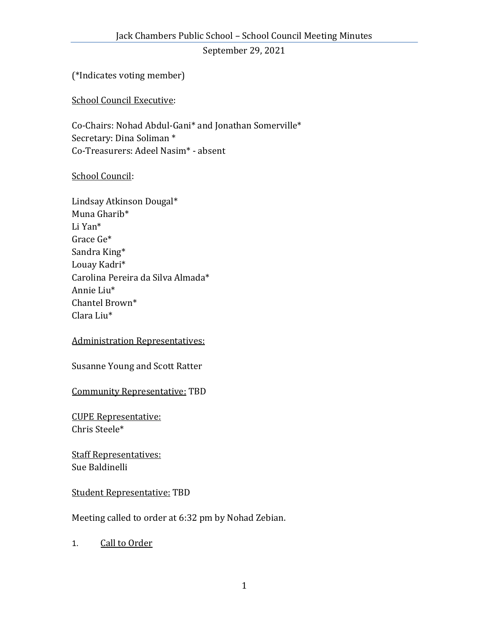September 29, 2021

(\*Indicates voting member)

School Council Executive:

Co-Chairs: Nohad Abdul-Gani\* and Jonathan Somerville\* Secretary: Dina Soliman \* Co-Treasurers: Adeel Nasim\* - absent

## School Council:

Lindsay Atkinson Dougal\* Muna Gharib\* Li Yan\* Grace Ge\* Sandra King\* Louay Kadri\* Carolina Pereira da Silva Almada\* Annie Liu\* Chantel Brown\* Clara Liu\*

## Administration Representatives:

Susanne Young and Scott Ratter

Community Representative: TBD

CUPE Representative: Chris Steele\*

Staff Representatives: Sue Baldinelli

Student Representative: TBD

Meeting called to order at 6:32 pm by Nohad Zebian.

1. Call to Order